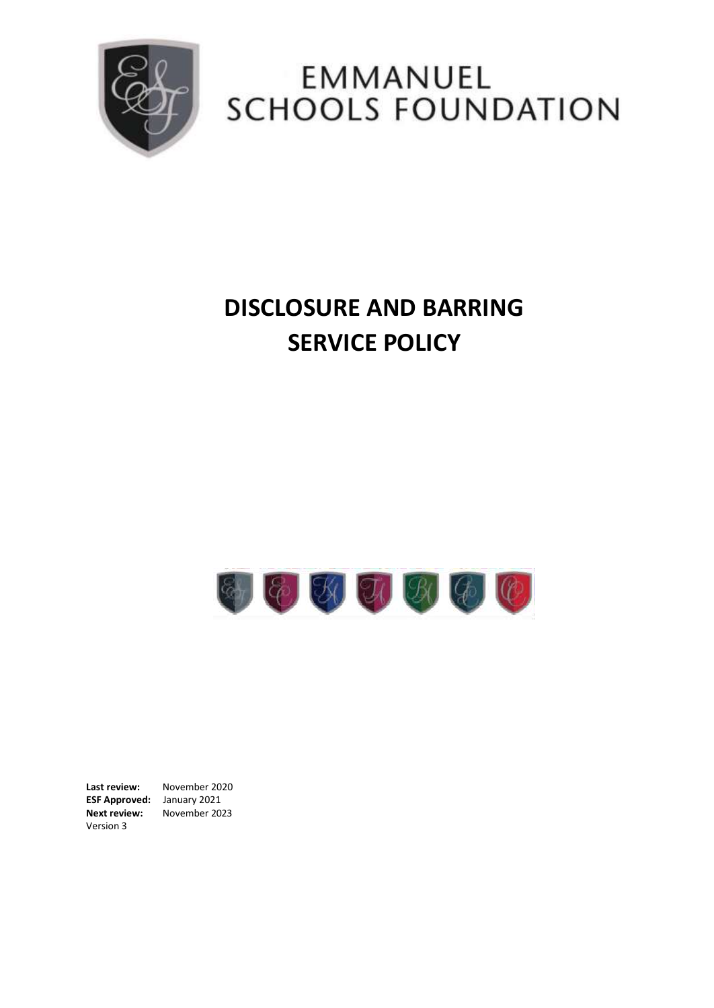

# EMMANUEL SCHOOLS FOUNDATION

# **DISCLOSURE AND BARRING SERVICE POLICY**



**Last review:** November 2020 **ESF Approved:** January 2021 **Next review:** November 2023 Version 3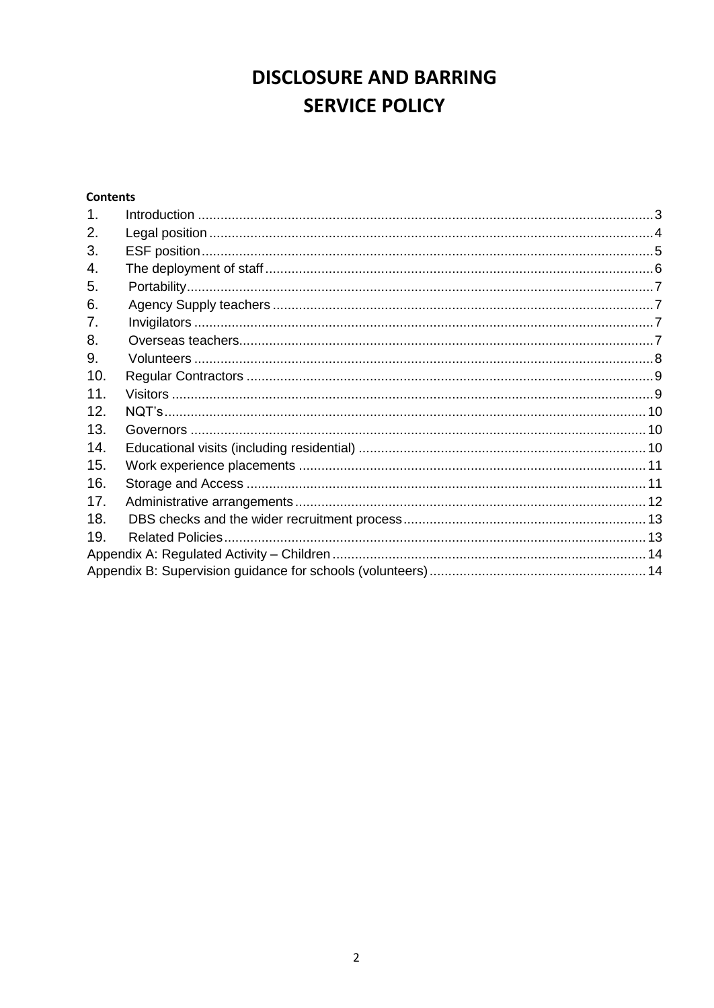# **DISCLOSURE AND BARRING SERVICE POLICY**

# **Contents**

| 1 <sub>1</sub> |  |
|----------------|--|
| 2.             |  |
| 3.             |  |
| 4.             |  |
| 5.             |  |
| 6.             |  |
| 7.             |  |
| 8.             |  |
| 9.             |  |
| 10.            |  |
| 11.            |  |
| 12.            |  |
| 13.            |  |
| 14.            |  |
| 15.            |  |
| 16.            |  |
| 17.            |  |
| 18.            |  |
| 19.            |  |
|                |  |
|                |  |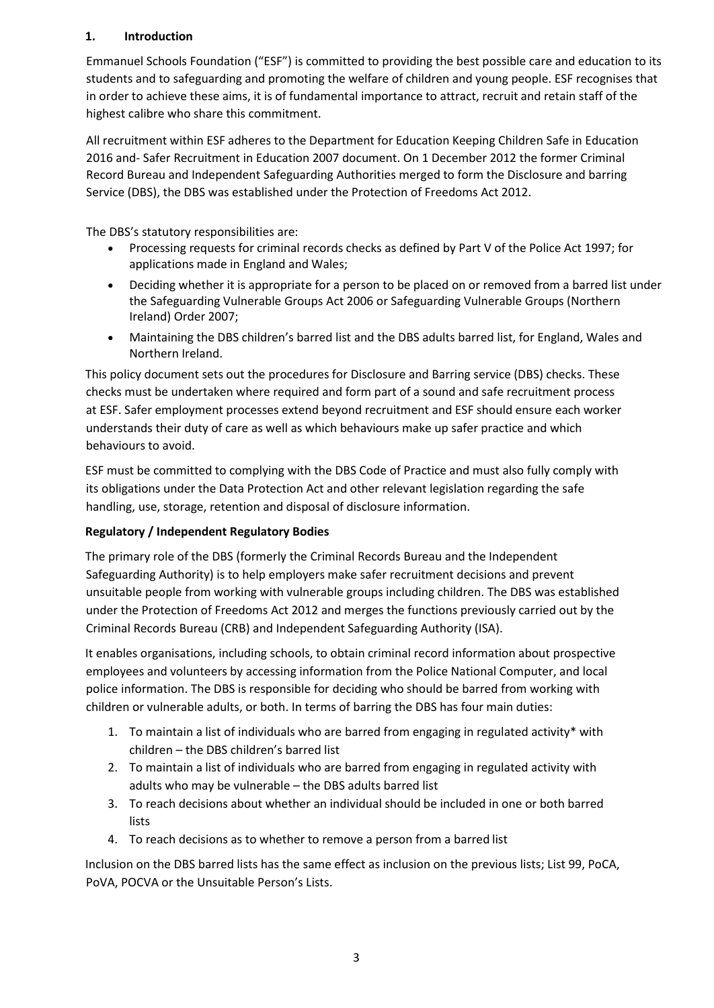## <span id="page-2-0"></span>**1. Introduction**

Emmanuel Schools Foundation ("ESF") is committed to providing the best possible care and education to its students and to safeguarding and promoting the welfare of children and young people. ESF recognises that in order to achieve these aims, it is of fundamental importance to attract, recruit and retain staff of the highest calibre who share this commitment.

All recruitment within ESF adheres to the Department for Education Keeping Children Safe in Education 2016 and- Safer Recruitment in Education 2007 document. On 1 December 2012 the former Criminal Record Bureau and Independent Safeguarding Authorities merged to form the Disclosure and barring Service (DBS), the DBS was established under the Protection of Freedoms Act 2012.

The DBS's statutory responsibilities are:

- Processing requests for criminal records checks as defined by Part V of the Police Act 1997; for applications made in England and Wales;
- Deciding whether it is appropriate for a person to be placed on or removed from a barred list under the Safeguarding Vulnerable Groups Act 2006 or Safeguarding Vulnerable Groups (Northern Ireland) Order 2007;
- Maintaining the DBS children's barred list and the DBS adults barred list, for England, Wales and Northern Ireland.

This policy document sets out the procedures for Disclosure and Barring service (DBS) checks. These checks must be undertaken where required and form part of a sound and safe recruitment process at ESF. Safer employment processes extend beyond recruitment and ESF should ensure each worker understands their duty of care as well as which behaviours make up safer practice and which behaviours to avoid.

ESF must be committed to complying with the DBS Code of Practice and must also fully comply with its obligations under the Data Protection Act and other relevant legislation regarding the safe handling, use, storage, retention and disposal of disclosure information.

# **Regulatory / Independent Regulatory Bodies**

The primary role of the DBS (formerly the Criminal Records Bureau and the Independent Safeguarding Authority) is to help employers make safer recruitment decisions and prevent unsuitable people from working with vulnerable groups including children. The DBS was established under the Protection of Freedoms Act 2012 and merges the functions previously carried out by the Criminal Records Bureau (CRB) and Independent Safeguarding Authority (ISA).

It enables organisations, including schools, to obtain criminal record information about prospective employees and volunteers by accessing information from the Police National Computer, and local police information. The DBS is responsible for deciding who should be barred from working with children or vulnerable adults, or both. In terms of barring the DBS has four main duties:

- 1. To maintain a list of individuals who are barred from engaging in regulated activity\* with children – the DBS children's barred list
- 2. To maintain a list of individuals who are barred from engaging in regulated activity with adults who may be vulnerable – the DBS adults barred list
- 3. To reach decisions about whether an individual should be included in one or both barred lists
- 4. To reach decisions as to whether to remove a person from a barred list

Inclusion on the DBS barred lists has the same effect as inclusion on the previous lists; List 99, PoCA, PoVA, POCVA or the Unsuitable Person's Lists.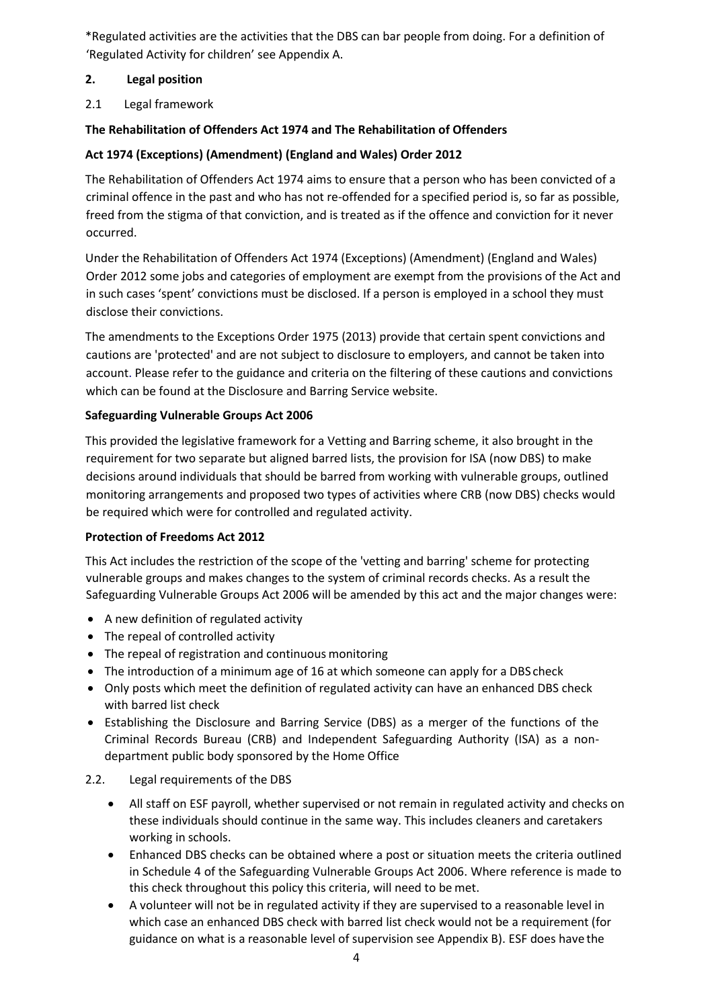\*Regulated activities are the activities that the DBS can bar people from doing. For a definition of 'Regulated Activity for children' see Appendix A.

#### <span id="page-3-0"></span>**2. Legal position**

2.1 Legal framework

# **The Rehabilitation of Offenders Act 1974 and The Rehabilitation of Offenders**

## **Act 1974 (Exceptions) (Amendment) (England and Wales) Order 2012**

The Rehabilitation of Offenders Act 1974 aims to ensure that a person who has been convicted of a criminal offence in the past and who has not re-offended for a specified period is, so far as possible, freed from the stigma of that conviction, and is treated as if the offence and conviction for it never occurred.

Under the Rehabilitation of Offenders Act 1974 (Exceptions) (Amendment) (England and Wales) Order 2012 some jobs and categories of employment are exempt from the provisions of the Act and in such cases 'spent' convictions must be disclosed. If a person is employed in a school they must disclose their convictions.

The amendments to the Exceptions Order 1975 (2013) provide that certain spent convictions and cautions are 'protected' and are not subject to disclosure to employers, and cannot be taken into account. Please refer to the guidance and criteria on the filtering of these cautions and convictions which can be found at the Disclosure and Barring Service website.

#### **Safeguarding Vulnerable Groups Act 2006**

This provided the legislative framework for a Vetting and Barring scheme, it also brought in the requirement for two separate but aligned barred lists, the provision for ISA (now DBS) to make decisions around individuals that should be barred from working with vulnerable groups, outlined monitoring arrangements and proposed two types of activities where CRB (now DBS) checks would be required which were for controlled and regulated activity.

#### **Protection of Freedoms Act 2012**

This Act includes the restriction of the scope of the 'vetting and barring' scheme for protecting vulnerable groups and makes changes to the system of criminal records checks. As a result the Safeguarding Vulnerable Groups Act 2006 will be amended by this act and the major changes were:

- A new definition of regulated activity
- The repeal of controlled activity
- The repeal of registration and continuous monitoring
- The introduction of a minimum age of 16 at which someone can apply for a DBS check
- Only posts which meet the definition of regulated activity can have an enhanced DBS check with barred list check
- Establishing the Disclosure and Barring Service (DBS) as a merger of the functions of the Criminal Records Bureau (CRB) and Independent Safeguarding Authority (ISA) as a nondepartment public body sponsored by the Home Office

#### 2.2. Legal requirements of the DBS

- All staff on ESF payroll, whether supervised or not remain in regulated activity and checks on these individuals should continue in the same way. This includes cleaners and caretakers working in schools.
- Enhanced DBS checks can be obtained where a post or situation meets the criteria outlined in Schedule 4 of the Safeguarding Vulnerable Groups Act 2006. Where reference is made to this check throughout this policy this criteria, will need to be met.
- A volunteer will not be in regulated activity if they are supervised to a reasonable level in which case an enhanced DBS check with barred list check would not be a requirement (for guidance on what is a reasonable level of supervision see Appendix B). ESF does have the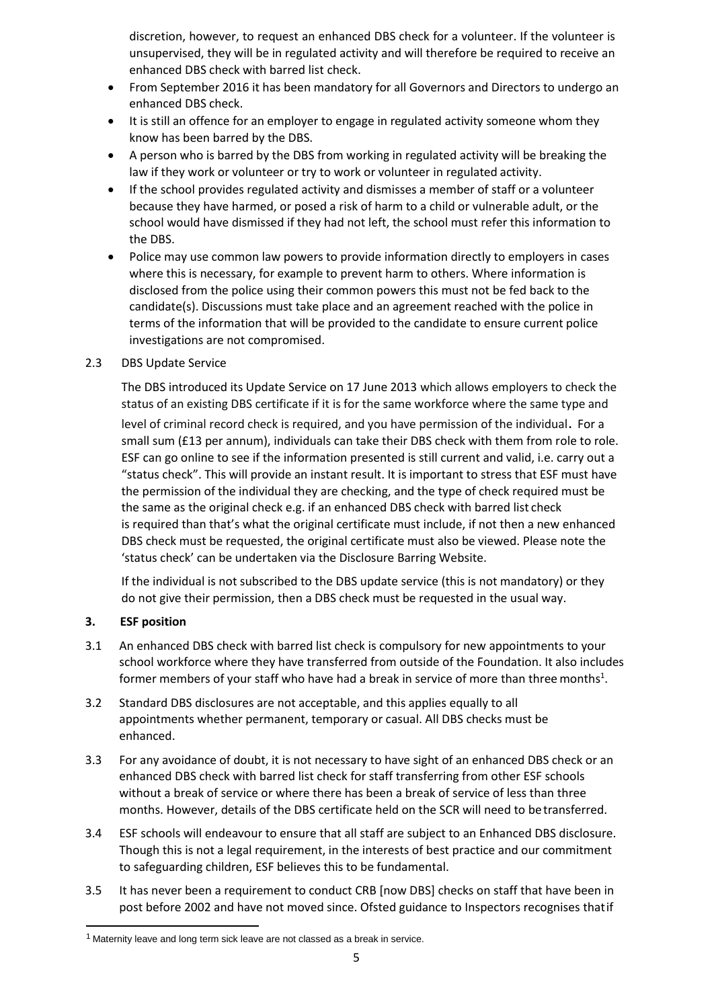discretion, however, to request an enhanced DBS check for a volunteer. If the volunteer is unsupervised, they will be in regulated activity and will therefore be required to receive an enhanced DBS check with barred list check.

- From September 2016 it has been mandatory for all Governors and Directors to undergo an enhanced DBS check.
- It is still an offence for an employer to engage in regulated activity someone whom they know has been barred by the DBS.
- A person who is barred by the DBS from working in regulated activity will be breaking the law if they work or volunteer or try to work or volunteer in regulated activity.
- If the school provides regulated activity and dismisses a member of staff or a volunteer because they have harmed, or posed a risk of harm to a child or vulnerable adult, or the school would have dismissed if they had not left, the school must refer this information to the DBS.
- Police may use common law powers to provide information directly to employers in cases where this is necessary, for example to prevent harm to others. Where information is disclosed from the police using their common powers this must not be fed back to the candidate(s). Discussions must take place and an agreement reached with the police in terms of the information that will be provided to the candidate to ensure current police investigations are not compromised.

#### 2.3 DBS Update Service

The DBS introduced its Update Service on 17 June 2013 which allows employers to check the status of an existing DBS certificate if it is for the same workforce where the same type and

level of criminal record check is required, and you have permission of the individual. For a small sum (£13 per annum), individuals can take their DBS check with them from role to role. ESF can go online to see if the information presented is still current and valid, i.e. carry out a "status check". This will provide an instant result. It is important to stress that ESF must have the permission of the individual they are checking, and the type of check required must be the same as the original check e.g. if an enhanced DBS check with barred list check is required than that's what the original certificate must include, if not then a new enhanced DBS check must be requested, the original certificate must also be viewed. Please note the 'status check' can be undertaken via the Disclosure Barring Website.

If the individual is not subscribed to the DBS update service (this is not mandatory) or they do not give their permission, then a DBS check must be requested in the usual way.

#### <span id="page-4-0"></span>**3. ESF position**

- 3.1 An enhanced DBS check with barred list check is compulsory for new appointments to your school workforce where they have transferred from outside of the Foundation. It also includes former members of your staff who have had a break in service of more than three months<sup>1</sup>.
- 3.2 Standard DBS disclosures are not acceptable, and this applies equally to all appointments whether permanent, temporary or casual. All DBS checks must be enhanced.
- 3.3 For any avoidance of doubt, it is not necessary to have sight of an enhanced DBS check or an enhanced DBS check with barred list check for staff transferring from other ESF schools without a break of service or where there has been a break of service of less than three months. However, details of the DBS certificate held on the SCR will need to betransferred.
- 3.4 ESF schools will endeavour to ensure that all staff are subject to an Enhanced DBS disclosure. Though this is not a legal requirement, in the interests of best practice and our commitment to safeguarding children, ESF believes this to be fundamental.
- 3.5 It has never been a requirement to conduct CRB [now DBS] checks on staff that have been in post before 2002 and have not moved since. Ofsted guidance to Inspectors recognises thatif

 $1$  Maternity leave and long term sick leave are not classed as a break in service.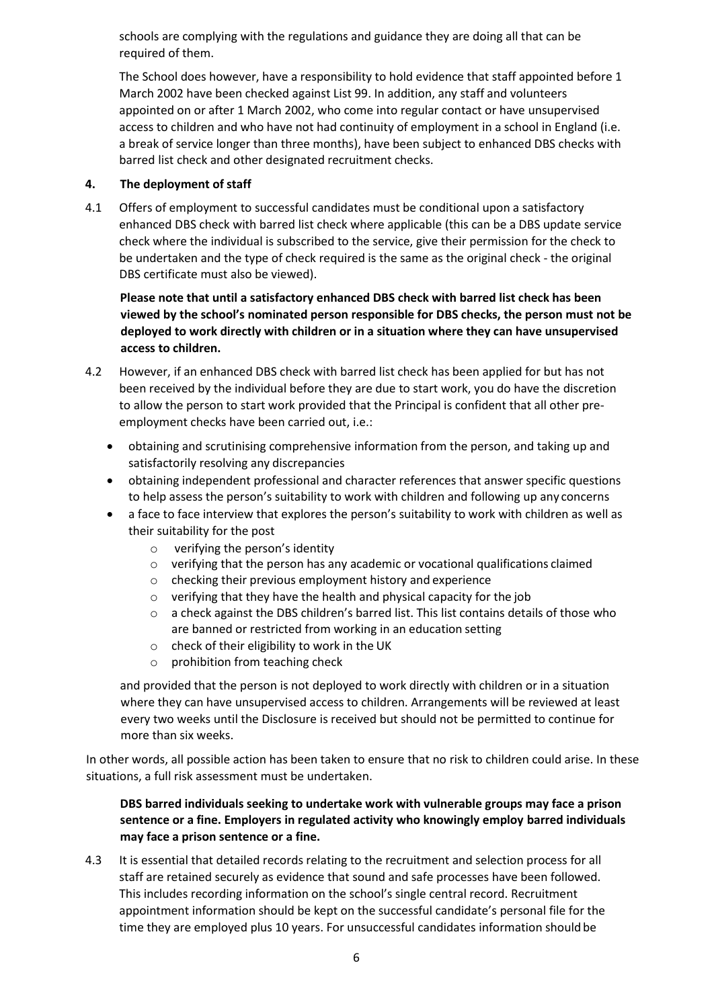schools are complying with the regulations and guidance they are doing all that can be required of them.

The School does however, have a responsibility to hold evidence that staff appointed before 1 March 2002 have been checked against List 99. In addition, any staff and volunteers appointed on or after 1 March 2002, who come into regular contact or have unsupervised access to children and who have not had continuity of employment in a school in England (i.e. a break of service longer than three months), have been subject to enhanced DBS checks with barred list check and other designated recruitment checks.

#### <span id="page-5-0"></span>**4. The deployment of staff**

4.1 Offers of employment to successful candidates must be conditional upon a satisfactory enhanced DBS check with barred list check where applicable (this can be a DBS update service check where the individual is subscribed to the service, give their permission for the check to be undertaken and the type of check required is the same as the original check - the original DBS certificate must also be viewed).

**Please note that until a satisfactory enhanced DBS check with barred list check has been viewed by the school's nominated person responsible for DBS checks, the person must not be deployed to work directly with children or in a situation where they can have unsupervised access to children.**

- 4.2 However, if an enhanced DBS check with barred list check has been applied for but has not been received by the individual before they are due to start work, you do have the discretion to allow the person to start work provided that the Principal is confident that all other preemployment checks have been carried out, i.e.:
	- obtaining and scrutinising comprehensive information from the person, and taking up and satisfactorily resolving any discrepancies
	- obtaining independent professional and character references that answer specific questions to help assess the person's suitability to work with children and following up any concerns
	- a face to face interview that explores the person's suitability to work with children as well as their suitability for the post
		- o verifying the person's identity
		- $\circ$  verifying that the person has any academic or vocational qualifications claimed
		- o checking their previous employment history and experience
		- o verifying that they have the health and physical capacity for the job
		- $\circ$  a check against the DBS children's barred list. This list contains details of those who are banned or restricted from working in an education setting
		- o check of their eligibility to work in the UK
		- o prohibition from teaching check

and provided that the person is not deployed to work directly with children or in a situation where they can have unsupervised access to children. Arrangements will be reviewed at least every two weeks until the Disclosure is received but should not be permitted to continue for more than six weeks.

In other words, all possible action has been taken to ensure that no risk to children could arise. In these situations, a full risk assessment must be undertaken.

### **DBS barred individuals seeking to undertake work with vulnerable groups may face a prison sentence or a fine. Employers in regulated activity who knowingly employ barred individuals may face a prison sentence or a fine.**

4.3 It is essential that detailed records relating to the recruitment and selection process for all staff are retained securely as evidence that sound and safe processes have been followed. This includes recording information on the school's single central record. Recruitment appointment information should be kept on the successful candidate's personal file for the time they are employed plus 10 years. For unsuccessful candidates information should be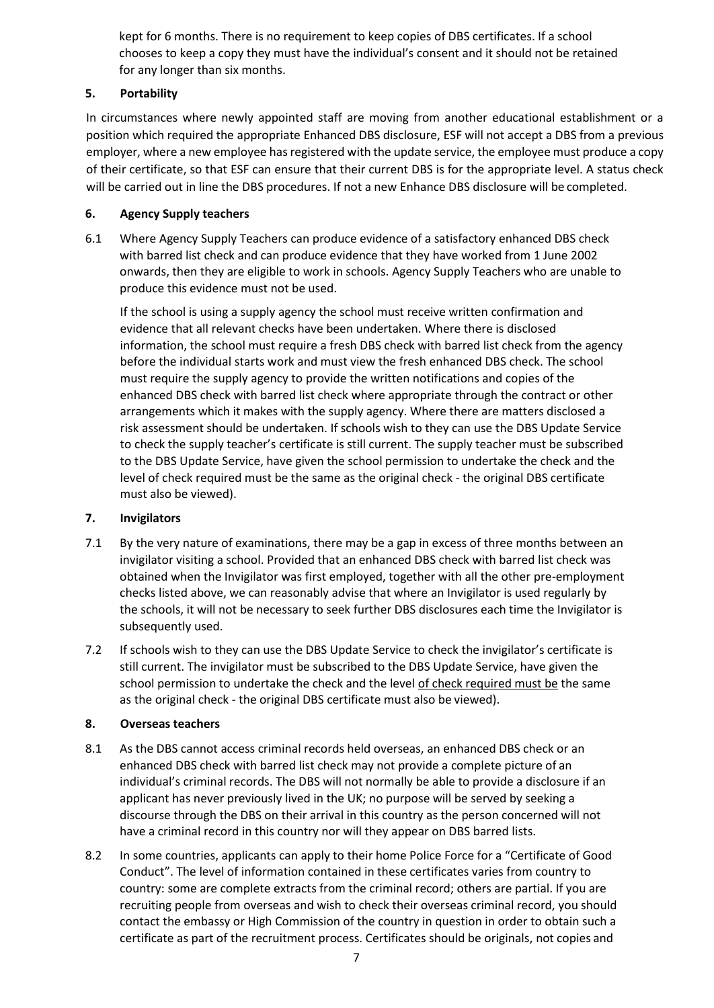kept for 6 months. There is no requirement to keep copies of DBS certificates. If a school chooses to keep a copy they must have the individual's consent and it should not be retained for any longer than six months.

# <span id="page-6-0"></span>**5. Portability**

In circumstances where newly appointed staff are moving from another educational establishment or a position which required the appropriate Enhanced DBS disclosure, ESF will not accept a DBS from a previous employer, where a new employee has registered with the update service, the employee must produce a copy of their certificate, so that ESF can ensure that their current DBS is for the appropriate level. A status check will be carried out in line the DBS procedures. If not a new Enhance DBS disclosure will be completed.

# <span id="page-6-1"></span>**6. Agency Supply teachers**

6.1 Where Agency Supply Teachers can produce evidence of a satisfactory enhanced DBS check with barred list check and can produce evidence that they have worked from 1 June 2002 onwards, then they are eligible to work in schools. Agency Supply Teachers who are unable to produce this evidence must not be used.

If the school is using a supply agency the school must receive written confirmation and evidence that all relevant checks have been undertaken. Where there is disclosed information, the school must require a fresh DBS check with barred list check from the agency before the individual starts work and must view the fresh enhanced DBS check. The school must require the supply agency to provide the written notifications and copies of the enhanced DBS check with barred list check where appropriate through the contract or other arrangements which it makes with the supply agency. Where there are matters disclosed a risk assessment should be undertaken. If schools wish to they can use the DBS Update Service to check the supply teacher's certificate is still current. The supply teacher must be subscribed to the DBS Update Service, have given the school permission to undertake the check and the level of check required must be the same as the original check - the original DBS certificate must also be viewed).

# <span id="page-6-2"></span>**7. Invigilators**

- 7.1 By the very nature of examinations, there may be a gap in excess of three months between an invigilator visiting a school. Provided that an enhanced DBS check with barred list check was obtained when the Invigilator was first employed, together with all the other pre-employment checks listed above, we can reasonably advise that where an Invigilator is used regularly by the schools, it will not be necessary to seek further DBS disclosures each time the Invigilator is subsequently used.
- 7.2 If schools wish to they can use the DBS Update Service to check the invigilator's certificate is still current. The invigilator must be subscribed to the DBS Update Service, have given the school permission to undertake the check and the level of check required must be the same as the original check - the original DBS certificate must also be viewed).

# <span id="page-6-3"></span>**8. Overseas teachers**

- 8.1 As the DBS cannot access criminal records held overseas, an enhanced DBS check or an enhanced DBS check with barred list check may not provide a complete picture of an individual's criminal records. The DBS will not normally be able to provide a disclosure if an applicant has never previously lived in the UK; no purpose will be served by seeking a discourse through the DBS on their arrival in this country as the person concerned will not have a criminal record in this country nor will they appear on DBS barred lists.
- 8.2 In some countries, applicants can apply to their home Police Force for a "Certificate of Good Conduct". The level of information contained in these certificates varies from country to country: some are complete extracts from the criminal record; others are partial. If you are recruiting people from overseas and wish to check their overseas criminal record, you should contact the embassy or High Commission of the country in question in order to obtain such a certificate as part of the recruitment process. Certificates should be originals, not copies and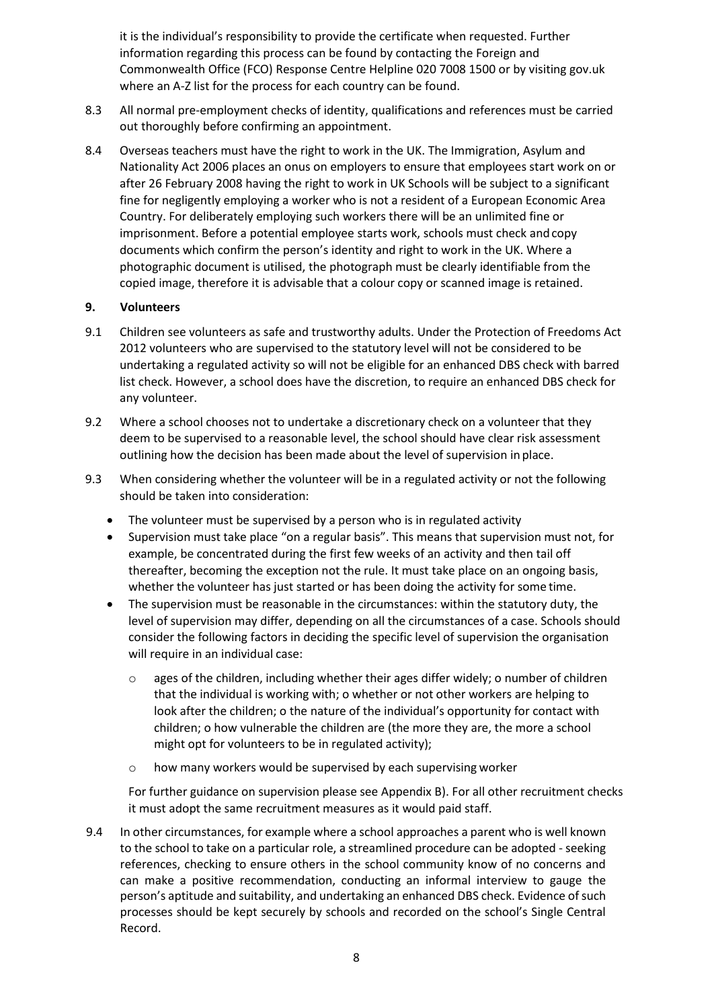it is the individual's responsibility to provide the certificate when requested. Further information regarding this process can be found by contacting the Foreign and Commonwealth Office (FCO) Response Centre Helpline 020 7008 1500 or by visiting gov.uk where an A-Z list for the process for each country can be found.

- 8.3 All normal pre-employment checks of identity, qualifications and references must be carried out thoroughly before confirming an appointment.
- 8.4 Overseas teachers must have the right to work in the UK. The Immigration, Asylum and Nationality Act 2006 places an onus on employers to ensure that employees start work on or after 26 February 2008 having the right to work in UK Schools will be subject to a significant fine for negligently employing a worker who is not a resident of a European Economic Area Country. For deliberately employing such workers there will be an unlimited fine or imprisonment. Before a potential employee starts work, schools must check andcopy documents which confirm the person's identity and right to work in the UK. Where a photographic document is utilised, the photograph must be clearly identifiable from the copied image, therefore it is advisable that a colour copy or scanned image is retained.

#### <span id="page-7-0"></span>**9. Volunteers**

- 9.1 Children see volunteers as safe and trustworthy adults. Under the Protection of Freedoms Act 2012 volunteers who are supervised to the statutory level will not be considered to be undertaking a regulated activity so will not be eligible for an enhanced DBS check with barred list check. However, a school does have the discretion, to require an enhanced DBS check for any volunteer.
- 9.2 Where a school chooses not to undertake a discretionary check on a volunteer that they deem to be supervised to a reasonable level, the school should have clear risk assessment outlining how the decision has been made about the level of supervision in place.
- 9.3 When considering whether the volunteer will be in a regulated activity or not the following should be taken into consideration:
	- The volunteer must be supervised by a person who is in regulated activity
	- Supervision must take place "on a regular basis". This means that supervision must not, for example, be concentrated during the first few weeks of an activity and then tail off thereafter, becoming the exception not the rule. It must take place on an ongoing basis, whether the volunteer has just started or has been doing the activity for some time.
	- The supervision must be reasonable in the circumstances: within the statutory duty, the level of supervision may differ, depending on all the circumstances of a case. Schools should consider the following factors in deciding the specific level of supervision the organisation will require in an individual case:
		- $\circ$  ages of the children, including whether their ages differ widely; o number of children that the individual is working with; o whether or not other workers are helping to look after the children; o the nature of the individual's opportunity for contact with children; o how vulnerable the children are (the more they are, the more a school might opt for volunteers to be in regulated activity);
		- o how many workers would be supervised by each supervising worker

For further guidance on supervision please see Appendix B). For all other recruitment checks it must adopt the same recruitment measures as it would paid staff.

9.4 In other circumstances, for example where a school approaches a parent who is well known to the school to take on a particular role, a streamlined procedure can be adopted - seeking references, checking to ensure others in the school community know of no concerns and can make a positive recommendation, conducting an informal interview to gauge the person's aptitude and suitability, and undertaking an enhanced DBS check. Evidence of such processes should be kept securely by schools and recorded on the school's Single Central Record.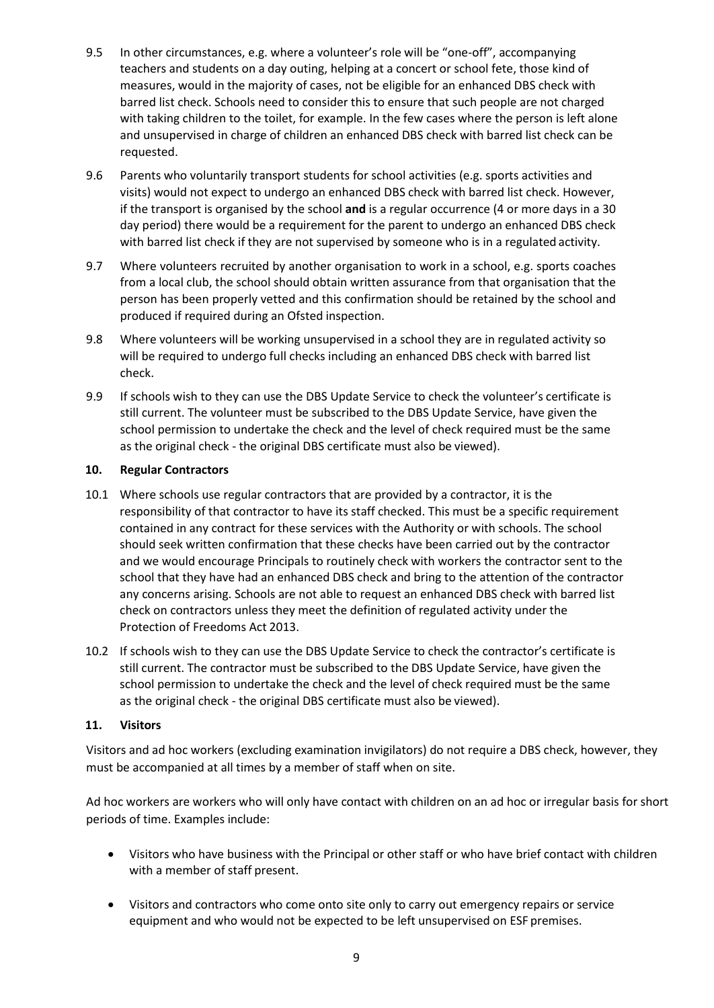- 9.5 In other circumstances, e.g. where a volunteer's role will be "one-off", accompanying teachers and students on a day outing, helping at a concert or school fete, those kind of measures, would in the majority of cases, not be eligible for an enhanced DBS check with barred list check. Schools need to consider this to ensure that such people are not charged with taking children to the toilet, for example. In the few cases where the person is left alone and unsupervised in charge of children an enhanced DBS check with barred list check can be requested.
- 9.6 Parents who voluntarily transport students for school activities (e.g. sports activities and visits) would not expect to undergo an enhanced DBS check with barred list check. However, if the transport is organised by the school **and** is a regular occurrence (4 or more days in a 30 day period) there would be a requirement for the parent to undergo an enhanced DBS check with barred list check if they are not supervised by someone who is in a regulated activity.
- 9.7 Where volunteers recruited by another organisation to work in a school, e.g. sports coaches from a local club, the school should obtain written assurance from that organisation that the person has been properly vetted and this confirmation should be retained by the school and produced if required during an Ofsted inspection.
- 9.8 Where volunteers will be working unsupervised in a school they are in regulated activity so will be required to undergo full checks including an enhanced DBS check with barred list check.
- 9.9 If schools wish to they can use the DBS Update Service to check the volunteer's certificate is still current. The volunteer must be subscribed to the DBS Update Service, have given the school permission to undertake the check and the level of check required must be the same as the original check - the original DBS certificate must also be viewed).

#### <span id="page-8-0"></span>**10. Regular Contractors**

- 10.1 Where schools use regular contractors that are provided by a contractor, it is the responsibility of that contractor to have its staff checked. This must be a specific requirement contained in any contract for these services with the Authority or with schools. The school should seek written confirmation that these checks have been carried out by the contractor and we would encourage Principals to routinely check with workers the contractor sent to the school that they have had an enhanced DBS check and bring to the attention of the contractor any concerns arising. Schools are not able to request an enhanced DBS check with barred list check on contractors unless they meet the definition of regulated activity under the Protection of Freedoms Act 2013.
- 10.2 If schools wish to they can use the DBS Update Service to check the contractor's certificate is still current. The contractor must be subscribed to the DBS Update Service, have given the school permission to undertake the check and the level of check required must be the same as the original check - the original DBS certificate must also be viewed).

#### <span id="page-8-1"></span>**11. Visitors**

Visitors and ad hoc workers (excluding examination invigilators) do not require a DBS check, however, they must be accompanied at all times by a member of staff when on site.

Ad hoc workers are workers who will only have contact with children on an ad hoc or irregular basis for short periods of time. Examples include:

- Visitors who have business with the Principal or other staff or who have brief contact with children with a member of staff present.
- Visitors and contractors who come onto site only to carry out emergency repairs or service equipment and who would not be expected to be left unsupervised on ESF premises.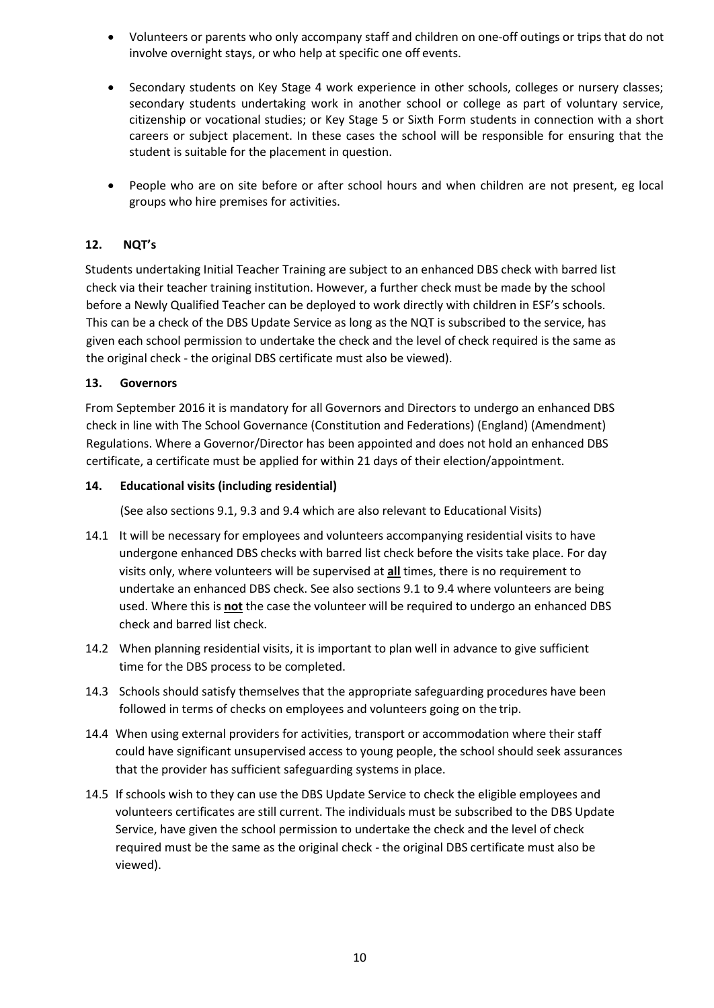- Volunteers or parents who only accompany staff and children on one-off outings or trips that do not involve overnight stays, or who help at specific one off events.
- Secondary students on Key Stage 4 work experience in other schools, colleges or nursery classes; secondary students undertaking work in another school or college as part of voluntary service, citizenship or vocational studies; or Key Stage 5 or Sixth Form students in connection with a short careers or subject placement. In these cases the school will be responsible for ensuring that the student is suitable for the placement in question.
- People who are on site before or after school hours and when children are not present, eg local groups who hire premises for activities.

#### <span id="page-9-0"></span>**12. NQT's**

Students undertaking Initial Teacher Training are subject to an enhanced DBS check with barred list check via their teacher training institution. However, a further check must be made by the school before a Newly Qualified Teacher can be deployed to work directly with children in ESF's schools. This can be a check of the DBS Update Service as long as the NQT is subscribed to the service, has given each school permission to undertake the check and the level of check required is the same as the original check - the original DBS certificate must also be viewed).

#### <span id="page-9-1"></span>**13. Governors**

From September 2016 it is mandatory for all Governors and Directors to undergo an enhanced DBS check in line with The School Governance (Constitution and Federations) (England) (Amendment) Regulations. Where a Governor/Director has been appointed and does not hold an enhanced DBS certificate, a certificate must be applied for within 21 days of their election/appointment.

#### <span id="page-9-2"></span>**14. Educational visits (including residential)**

(See also sections 9.1, 9.3 and 9.4 which are also relevant to Educational Visits)

- 14.1 It will be necessary for employees and volunteers accompanying residential visits to have undergone enhanced DBS checks with barred list check before the visits take place. For day visits only, where volunteers will be supervised at **all** times, there is no requirement to undertake an enhanced DBS check. See also sections 9.1 to 9.4 where volunteers are being used. Where this is **not** the case the volunteer will be required to undergo an enhanced DBS check and barred list check.
- 14.2 When planning residential visits, it is important to plan well in advance to give sufficient time for the DBS process to be completed.
- 14.3 Schools should satisfy themselves that the appropriate safeguarding procedures have been followed in terms of checks on employees and volunteers going on the trip.
- 14.4 When using external providers for activities, transport or accommodation where their staff could have significant unsupervised access to young people, the school should seek assurances that the provider has sufficient safeguarding systems in place.
- 14.5 If schools wish to they can use the DBS Update Service to check the eligible employees and volunteers certificates are still current. The individuals must be subscribed to the DBS Update Service, have given the school permission to undertake the check and the level of check required must be the same as the original check - the original DBS certificate must also be viewed).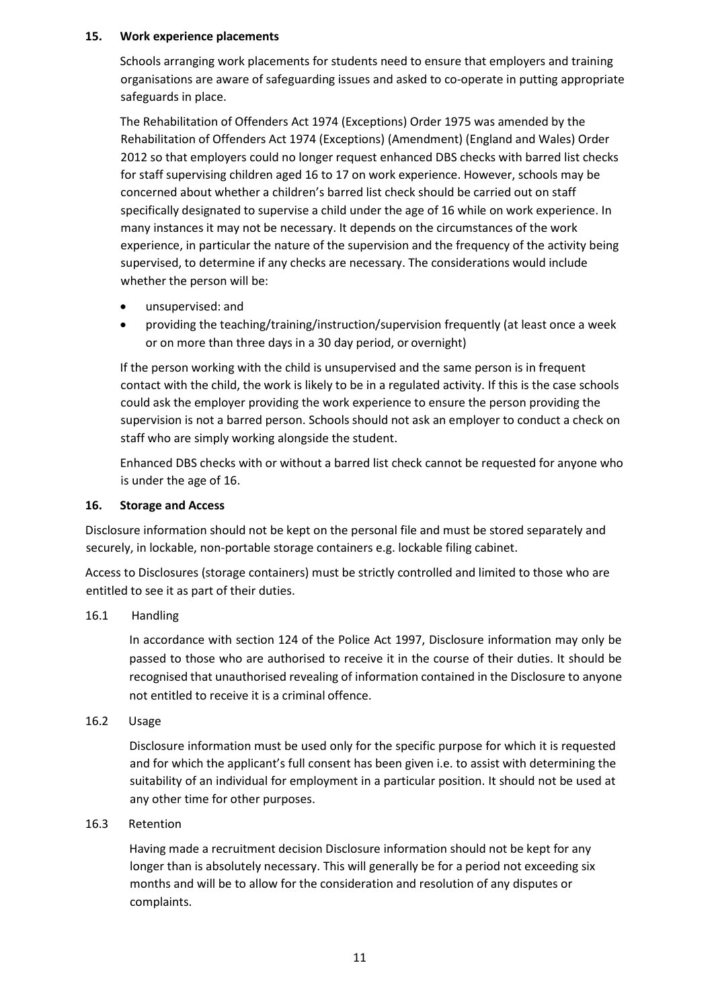#### <span id="page-10-0"></span>**15. Work experience placements**

Schools arranging work placements for students need to ensure that employers and training organisations are aware of safeguarding issues and asked to co-operate in putting appropriate safeguards in place.

The Rehabilitation of Offenders Act 1974 (Exceptions) Order 1975 was amended by the Rehabilitation of Offenders Act 1974 (Exceptions) (Amendment) (England and Wales) Order 2012 so that employers could no longer request enhanced DBS checks with barred list checks for staff supervising children aged 16 to 17 on work experience. However, schools may be concerned about whether a children's barred list check should be carried out on staff specifically designated to supervise a child under the age of 16 while on work experience. In many instances it may not be necessary. It depends on the circumstances of the work experience, in particular the nature of the supervision and the frequency of the activity being supervised, to determine if any checks are necessary. The considerations would include whether the person will be:

- unsupervised: and
- providing the teaching/training/instruction/supervision frequently (at least once a week or on more than three days in a 30 day period, or overnight)

If the person working with the child is unsupervised and the same person is in frequent contact with the child, the work is likely to be in a regulated activity. If this is the case schools could ask the employer providing the work experience to ensure the person providing the supervision is not a barred person. Schools should not ask an employer to conduct a check on staff who are simply working alongside the student.

Enhanced DBS checks with or without a barred list check cannot be requested for anyone who is under the age of 16.

#### <span id="page-10-1"></span>**16. Storage and Access**

Disclosure information should not be kept on the personal file and must be stored separately and securely, in lockable, non-portable storage containers e.g. lockable filing cabinet.

Access to Disclosures (storage containers) must be strictly controlled and limited to those who are entitled to see it as part of their duties.

#### 16.1 Handling

In accordance with section 124 of the Police Act 1997, Disclosure information may only be passed to those who are authorised to receive it in the course of their duties. It should be recognised that unauthorised revealing of information contained in the Disclosure to anyone not entitled to receive it is a criminal offence.

#### 16.2 Usage

Disclosure information must be used only for the specific purpose for which it is requested and for which the applicant's full consent has been given i.e. to assist with determining the suitability of an individual for employment in a particular position. It should not be used at any other time for other purposes.

#### 16.3 Retention

Having made a recruitment decision Disclosure information should not be kept for any longer than is absolutely necessary. This will generally be for a period not exceeding six months and will be to allow for the consideration and resolution of any disputes or complaints.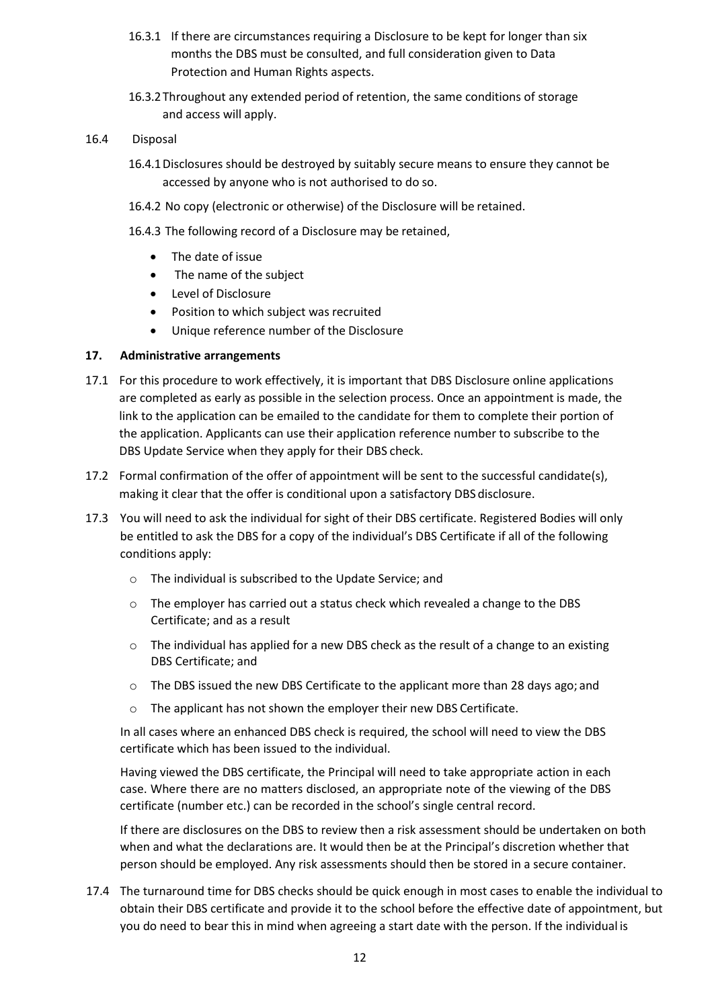- 16.3.1 If there are circumstances requiring a Disclosure to be kept for longer than six months the DBS must be consulted, and full consideration given to Data Protection and Human Rights aspects.
- 16.3.2Throughout any extended period of retention, the same conditions of storage and access will apply.

#### 16.4 Disposal

- 16.4.1Disclosures should be destroyed by suitably secure means to ensure they cannot be accessed by anyone who is not authorised to do so.
- 16.4.2 No copy (electronic or otherwise) of the Disclosure will be retained.
- 16.4.3 The following record of a Disclosure may be retained,
	- The date of issue
	- The name of the subject
	- Level of Disclosure
	- Position to which subject was recruited
	- Unique reference number of the Disclosure

#### <span id="page-11-0"></span>**17. Administrative arrangements**

- 17.1 For this procedure to work effectively, it is important that DBS Disclosure online applications are completed as early as possible in the selection process. Once an appointment is made, the link to the application can be emailed to the candidate for them to complete their portion of the application. Applicants can use their application reference number to subscribe to the DBS Update Service when they apply for their DBS check.
- 17.2 Formal confirmation of the offer of appointment will be sent to the successful candidate(s), making it clear that the offer is conditional upon a satisfactory DBS disclosure.
- 17.3 You will need to ask the individual for sight of their DBS certificate. Registered Bodies will only be entitled to ask the DBS for a copy of the individual's DBS Certificate if all of the following conditions apply:
	- o The individual is subscribed to the Update Service; and
	- $\circ$  The employer has carried out a status check which revealed a change to the DBS Certificate; and as a result
	- $\circ$  The individual has applied for a new DBS check as the result of a change to an existing DBS Certificate; and
	- $\circ$  The DBS issued the new DBS Certificate to the applicant more than 28 days ago; and
	- o The applicant has not shown the employer their new DBS Certificate.

In all cases where an enhanced DBS check is required, the school will need to view the DBS certificate which has been issued to the individual.

Having viewed the DBS certificate, the Principal will need to take appropriate action in each case. Where there are no matters disclosed, an appropriate note of the viewing of the DBS certificate (number etc.) can be recorded in the school's single central record.

If there are disclosures on the DBS to review then a risk assessment should be undertaken on both when and what the declarations are. It would then be at the Principal's discretion whether that person should be employed. Any risk assessments should then be stored in a secure container.

17.4 The turnaround time for DBS checks should be quick enough in most cases to enable the individual to obtain their DBS certificate and provide it to the school before the effective date of appointment, but you do need to bear this in mind when agreeing a start date with the person. If the individual is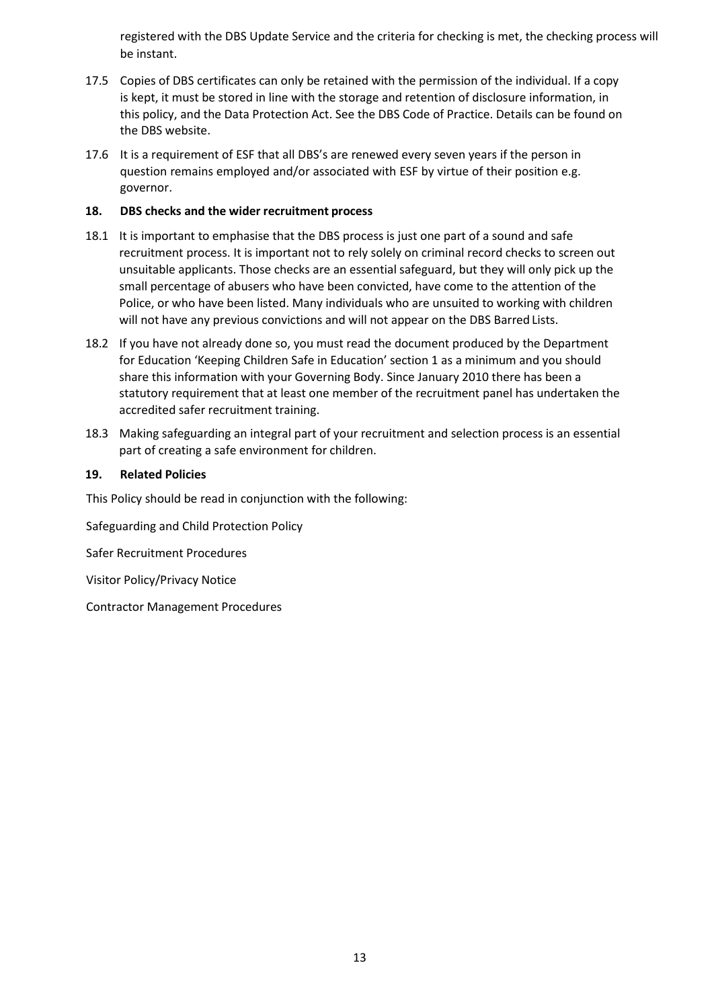registered with the DBS Update Service and the criteria for checking is met, the checking process will be instant.

- 17.5 Copies of DBS certificates can only be retained with the permission of the individual. If a copy is kept, it must be stored in line with the storage and retention of disclosure information, in this policy, and the Data Protection Act. See the DBS Code of Practice. Details can be found on the DBS website.
- 17.6 It is a requirement of ESF that all DBS's are renewed every seven years if the person in question remains employed and/or associated with ESF by virtue of their position e.g. governor.

#### <span id="page-12-0"></span>**18. DBS checks and the wider recruitment process**

- 18.1 It is important to emphasise that the DBS process is just one part of a sound and safe recruitment process. It is important not to rely solely on criminal record checks to screen out unsuitable applicants. Those checks are an essential safeguard, but they will only pick up the small percentage of abusers who have been convicted, have come to the attention of the Police, or who have been listed. Many individuals who are unsuited to working with children will not have any previous convictions and will not appear on the DBS Barred Lists.
- 18.2 If you have not already done so, you must read the document produced by the Department for Education 'Keeping Children Safe in Education' section 1 as a minimum and you should share this information with your Governing Body. Since January 2010 there has been a statutory requirement that at least one member of the recruitment panel has undertaken the accredited safer recruitment training.
- 18.3 Making safeguarding an integral part of your recruitment and selection process is an essential part of creating a safe environment for children.

#### <span id="page-12-1"></span>**19. Related Policies**

This Policy should be read in conjunction with the following:

Safeguarding and Child Protection Policy

Safer Recruitment Procedures

Visitor Policy/Privacy Notice

Contractor Management Procedures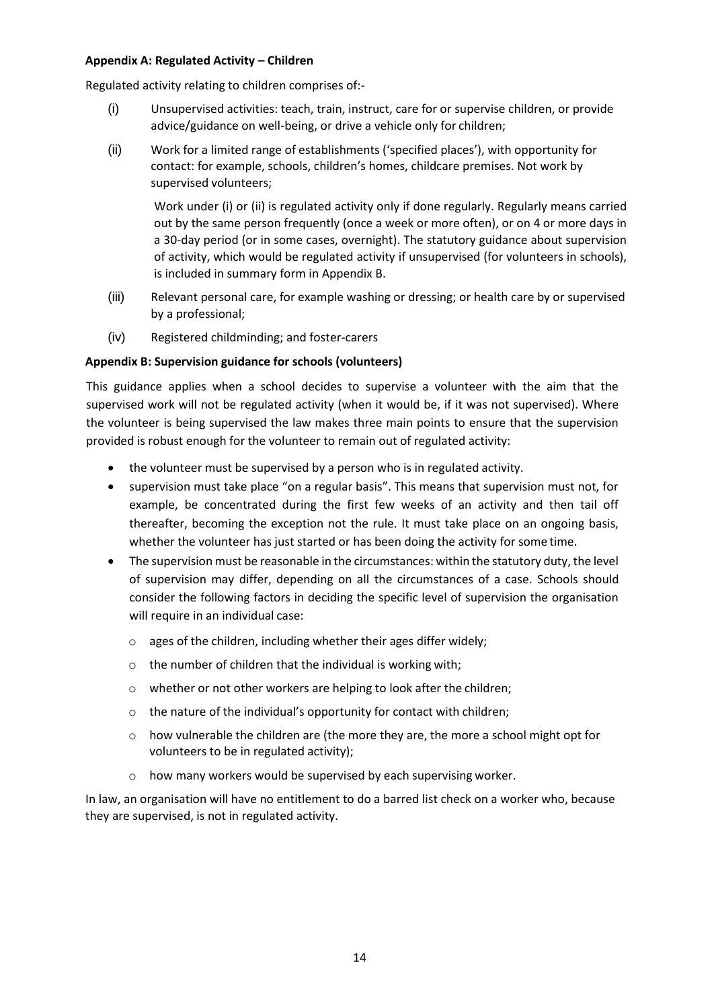#### <span id="page-13-0"></span>**Appendix A: Regulated Activity – Children**

Regulated activity relating to children comprises of:-

- (i) Unsupervised activities: teach, train, instruct, care for or supervise children, or provide advice/guidance on well-being, or drive a vehicle only for children;
- (ii) Work for a limited range of establishments ('specified places'), with opportunity for contact: for example, schools, children's homes, childcare premises. Not work by supervised volunteers;

Work under (i) or (ii) is regulated activity only if done regularly. Regularly means carried out by the same person frequently (once a week or more often), or on 4 or more days in a 30-day period (or in some cases, overnight). The statutory guidance about supervision of activity, which would be regulated activity if unsupervised (for volunteers in schools), is included in summary form in Appendix B.

- (iii) Relevant personal care, for example washing or dressing; or health care by or supervised by a professional;
- (iv) Registered childminding; and foster-carers

#### <span id="page-13-1"></span>**Appendix B: Supervision guidance for schools (volunteers)**

This guidance applies when a school decides to supervise a volunteer with the aim that the supervised work will not be regulated activity (when it would be, if it was not supervised). Where the volunteer is being supervised the law makes three main points to ensure that the supervision provided is robust enough for the volunteer to remain out of regulated activity:

- the volunteer must be supervised by a person who is in regulated activity.
- supervision must take place "on a regular basis". This means that supervision must not, for example, be concentrated during the first few weeks of an activity and then tail off thereafter, becoming the exception not the rule. It must take place on an ongoing basis, whether the volunteer has just started or has been doing the activity for some time.
- The supervision must be reasonable in the circumstances: within the statutory duty, the level of supervision may differ, depending on all the circumstances of a case. Schools should consider the following factors in deciding the specific level of supervision the organisation will require in an individual case:
	- o ages of the children, including whether their ages differ widely;
	- o the number of children that the individual is working with;
	- o whether or not other workers are helping to look after the children;
	- $\circ$  the nature of the individual's opportunity for contact with children;
	- $\circ$  how vulnerable the children are (the more they are, the more a school might opt for volunteers to be in regulated activity);
	- o how many workers would be supervised by each supervising worker.

In law, an organisation will have no entitlement to do a barred list check on a worker who, because they are supervised, is not in regulated activity.